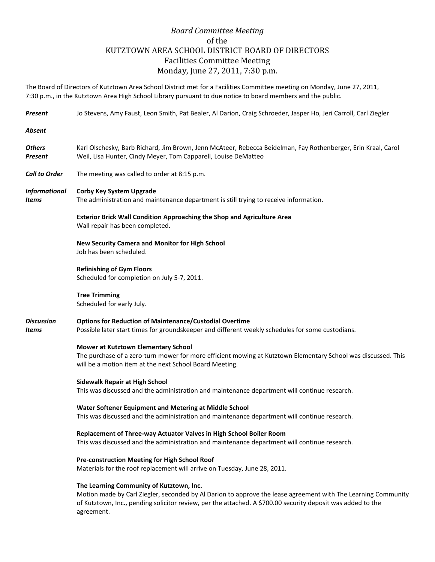## *Board Committee Meeting* of the KUTZTOWN AREA SCHOOL DISTRICT BOARD OF DIRECTORS Facilities Committee Meeting Monday, June 27, 2011, 7:30 p.m.

The Board of Directors of Kutztown Area School District met for a Facilities Committee meeting on Monday, June 27, 2011, 7:30 p.m., in the Kutztown Area High School Library pursuant to due notice to board members and the public.

| <b>Present</b>                       | Jo Stevens, Amy Faust, Leon Smith, Pat Bealer, Al Darion, Craig Schroeder, Jasper Ho, Jeri Carroll, Carl Ziegler                                                                                                                                                                       |
|--------------------------------------|----------------------------------------------------------------------------------------------------------------------------------------------------------------------------------------------------------------------------------------------------------------------------------------|
| <b>Absent</b>                        |                                                                                                                                                                                                                                                                                        |
| <b>Others</b><br><b>Present</b>      | Karl Olschesky, Barb Richard, Jim Brown, Jenn McAteer, Rebecca Beidelman, Fay Rothenberger, Erin Kraal, Carol<br>Weil, Lisa Hunter, Cindy Meyer, Tom Capparell, Louise DeMatteo                                                                                                        |
| <b>Call to Order</b>                 | The meeting was called to order at 8:15 p.m.                                                                                                                                                                                                                                           |
| <b>Informational</b><br><b>Items</b> | <b>Corby Key System Upgrade</b><br>The administration and maintenance department is still trying to receive information.                                                                                                                                                               |
|                                      | <b>Exterior Brick Wall Condition Approaching the Shop and Agriculture Area</b><br>Wall repair has been completed.                                                                                                                                                                      |
|                                      | New Security Camera and Monitor for High School<br>Job has been scheduled.                                                                                                                                                                                                             |
|                                      | <b>Refinishing of Gym Floors</b><br>Scheduled for completion on July 5-7, 2011.                                                                                                                                                                                                        |
|                                      | <b>Tree Trimming</b><br>Scheduled for early July.                                                                                                                                                                                                                                      |
| <b>Discussion</b><br>Items           | <b>Options for Reduction of Maintenance/Custodial Overtime</b><br>Possible later start times for groundskeeper and different weekly schedules for some custodians.                                                                                                                     |
|                                      | Mower at Kutztown Elementary School<br>The purchase of a zero-turn mower for more efficient mowing at Kutztown Elementary School was discussed. This<br>will be a motion item at the next School Board Meeting.                                                                        |
|                                      | <b>Sidewalk Repair at High School</b><br>This was discussed and the administration and maintenance department will continue research.                                                                                                                                                  |
|                                      | Water Softener Equipment and Metering at Middle School<br>This was discussed and the administration and maintenance department will continue research.                                                                                                                                 |
|                                      | Replacement of Three-way Actuator Valves in High School Boiler Room<br>This was discussed and the administration and maintenance department will continue research.                                                                                                                    |
|                                      | Pre-construction Meeting for High School Roof<br>Materials for the roof replacement will arrive on Tuesday, June 28, 2011.                                                                                                                                                             |
|                                      | The Learning Community of Kutztown, Inc.<br>Motion made by Carl Ziegler, seconded by Al Darion to approve the lease agreement with The Learning Community<br>of Kutztown, Inc., pending solicitor review, per the attached. A \$700.00 security deposit was added to the<br>agreement. |